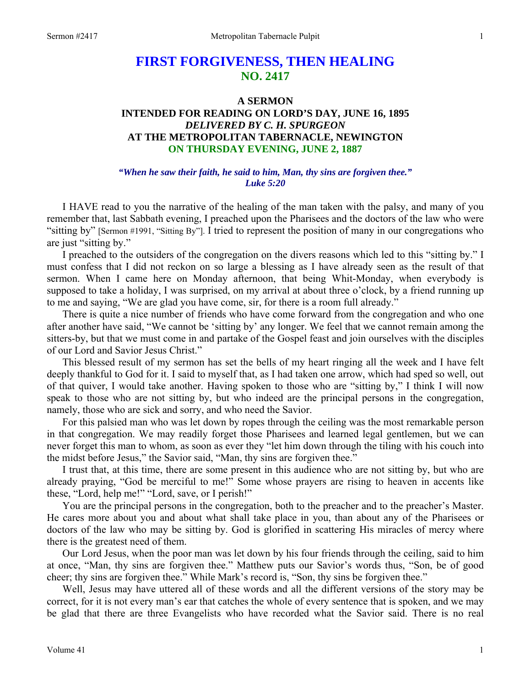# **FIRST FORGIVENESS, THEN HEALING NO. 2417**

# **A SERMON INTENDED FOR READING ON LORD'S DAY, JUNE 16, 1895**  *DELIVERED BY C. H. SPURGEON*  **AT THE METROPOLITAN TABERNACLE, NEWINGTON ON THURSDAY EVENING, JUNE 2, 1887**

#### *"When he saw their faith, he said to him, Man, thy sins are forgiven thee." Luke 5:20*

I HAVE read to you the narrative of the healing of the man taken with the palsy, and many of you remember that, last Sabbath evening, I preached upon the Pharisees and the doctors of the law who were "sitting by" [Sermon #1991, "Sitting By"]. I tried to represent the position of many in our congregations who are just "sitting by."

I preached to the outsiders of the congregation on the divers reasons which led to this "sitting by." I must confess that I did not reckon on so large a blessing as I have already seen as the result of that sermon. When I came here on Monday afternoon, that being Whit-Monday, when everybody is supposed to take a holiday, I was surprised, on my arrival at about three o'clock, by a friend running up to me and saying, "We are glad you have come, sir, for there is a room full already."

There is quite a nice number of friends who have come forward from the congregation and who one after another have said, "We cannot be 'sitting by' any longer. We feel that we cannot remain among the sitters-by, but that we must come in and partake of the Gospel feast and join ourselves with the disciples of our Lord and Savior Jesus Christ."

This blessed result of my sermon has set the bells of my heart ringing all the week and I have felt deeply thankful to God for it. I said to myself that, as I had taken one arrow, which had sped so well, out of that quiver, I would take another. Having spoken to those who are "sitting by," I think I will now speak to those who are not sitting by, but who indeed are the principal persons in the congregation, namely, those who are sick and sorry, and who need the Savior.

For this palsied man who was let down by ropes through the ceiling was the most remarkable person in that congregation. We may readily forget those Pharisees and learned legal gentlemen, but we can never forget this man to whom, as soon as ever they "let him down through the tiling with his couch into the midst before Jesus," the Savior said, "Man, thy sins are forgiven thee."

I trust that, at this time, there are some present in this audience who are not sitting by, but who are already praying, "God be merciful to me!" Some whose prayers are rising to heaven in accents like these, "Lord, help me!" "Lord, save, or I perish!"

You are the principal persons in the congregation, both to the preacher and to the preacher's Master. He cares more about you and about what shall take place in you, than about any of the Pharisees or doctors of the law who may be sitting by. God is glorified in scattering His miracles of mercy where there is the greatest need of them.

Our Lord Jesus, when the poor man was let down by his four friends through the ceiling, said to him at once, "Man, thy sins are forgiven thee." Matthew puts our Savior's words thus, "Son, be of good cheer; thy sins are forgiven thee." While Mark's record is, "Son, thy sins be forgiven thee."

Well, Jesus may have uttered all of these words and all the different versions of the story may be correct, for it is not every man's ear that catches the whole of every sentence that is spoken, and we may be glad that there are three Evangelists who have recorded what the Savior said. There is no real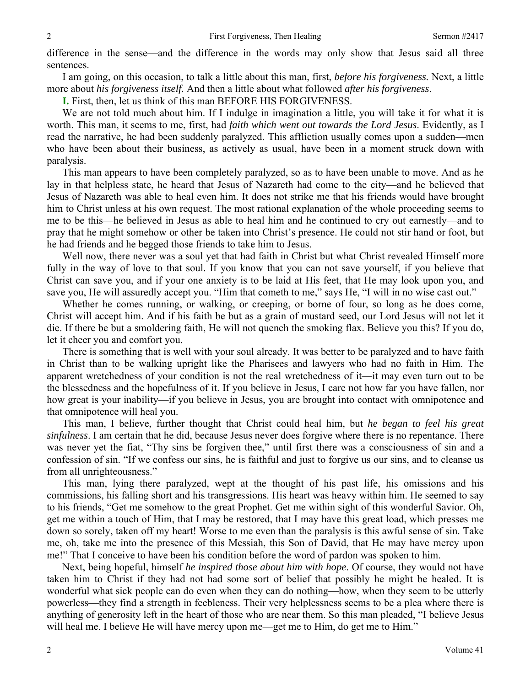difference in the sense—and the difference in the words may only show that Jesus said all three sentences.

I am going, on this occasion, to talk a little about this man, first, *before his forgiveness.* Next, a little more about *his forgiveness itself.* And then a little about what followed *after his forgiveness*.

**I.** First, then, let us think of this man BEFORE HIS FORGIVENESS.

We are not told much about him. If I indulge in imagination a little, you will take it for what it is worth. This man, it seems to me, first, had *faith which went out towards the Lord Jesus*. Evidently, as I read the narrative, he had been suddenly paralyzed. This affliction usually comes upon a sudden—men who have been about their business, as actively as usual, have been in a moment struck down with paralysis.

This man appears to have been completely paralyzed, so as to have been unable to move. And as he lay in that helpless state, he heard that Jesus of Nazareth had come to the city—and he believed that Jesus of Nazareth was able to heal even him. It does not strike me that his friends would have brought him to Christ unless at his own request. The most rational explanation of the whole proceeding seems to me to be this—he believed in Jesus as able to heal him and he continued to cry out earnestly—and to pray that he might somehow or other be taken into Christ's presence. He could not stir hand or foot, but he had friends and he begged those friends to take him to Jesus.

Well now, there never was a soul yet that had faith in Christ but what Christ revealed Himself more fully in the way of love to that soul. If you know that you can not save yourself, if you believe that Christ can save you, and if your one anxiety is to be laid at His feet, that He may look upon you, and save you, He will assuredly accept you. "Him that cometh to me," says He, "I will in no wise cast out."

Whether he comes running, or walking, or creeping, or borne of four, so long as he does come, Christ will accept him. And if his faith be but as a grain of mustard seed, our Lord Jesus will not let it die. If there be but a smoldering faith, He will not quench the smoking flax. Believe you this? If you do, let it cheer you and comfort you.

There is something that is well with your soul already. It was better to be paralyzed and to have faith in Christ than to be walking upright like the Pharisees and lawyers who had no faith in Him. The apparent wretchedness of your condition is not the real wretchedness of it—it may even turn out to be the blessedness and the hopefulness of it. If you believe in Jesus, I care not how far you have fallen, nor how great is your inability—if you believe in Jesus, you are brought into contact with omnipotence and that omnipotence will heal you.

This man, I believe, further thought that Christ could heal him, but *he began to feel his great sinfulness*. I am certain that he did, because Jesus never does forgive where there is no repentance. There was never yet the fiat, "Thy sins be forgiven thee," until first there was a consciousness of sin and a confession of sin. "If we confess our sins, he is faithful and just to forgive us our sins, and to cleanse us from all unrighteousness."

This man, lying there paralyzed, wept at the thought of his past life, his omissions and his commissions, his falling short and his transgressions. His heart was heavy within him. He seemed to say to his friends, "Get me somehow to the great Prophet. Get me within sight of this wonderful Savior. Oh, get me within a touch of Him, that I may be restored, that I may have this great load, which presses me down so sorely, taken off my heart! Worse to me even than the paralysis is this awful sense of sin. Take me, oh, take me into the presence of this Messiah, this Son of David, that He may have mercy upon me!" That I conceive to have been his condition before the word of pardon was spoken to him.

Next, being hopeful, himself *he inspired those about him with hope*. Of course, they would not have taken him to Christ if they had not had some sort of belief that possibly he might be healed. It is wonderful what sick people can do even when they can do nothing—how, when they seem to be utterly powerless—they find a strength in feebleness. Their very helplessness seems to be a plea where there is anything of generosity left in the heart of those who are near them. So this man pleaded, "I believe Jesus will heal me. I believe He will have mercy upon me—get me to Him, do get me to Him."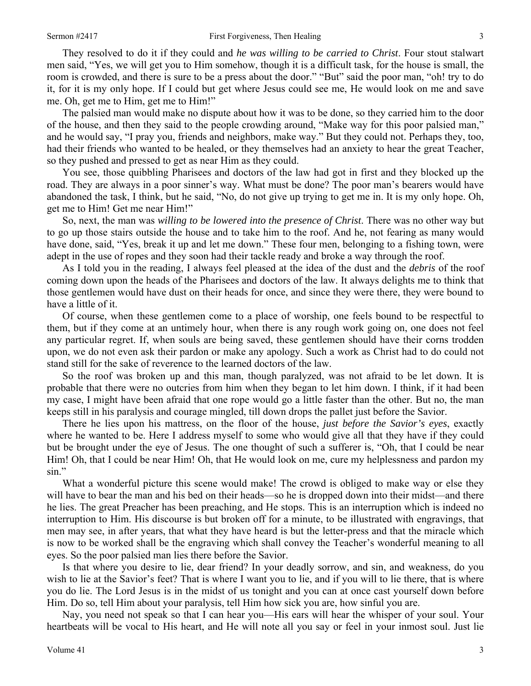They resolved to do it if they could and *he was willing to be carried to Christ*. Four stout stalwart men said, "Yes, we will get you to Him somehow, though it is a difficult task, for the house is small, the room is crowded, and there is sure to be a press about the door." "But" said the poor man, "oh! try to do it, for it is my only hope. If I could but get where Jesus could see me, He would look on me and save me. Oh, get me to Him, get me to Him!"

The palsied man would make no dispute about how it was to be done, so they carried him to the door of the house, and then they said to the people crowding around, "Make way for this poor palsied man," and he would say, "I pray you, friends and neighbors, make way." But they could not. Perhaps they, too, had their friends who wanted to be healed, or they themselves had an anxiety to hear the great Teacher, so they pushed and pressed to get as near Him as they could.

You see, those quibbling Pharisees and doctors of the law had got in first and they blocked up the road. They are always in a poor sinner's way. What must be done? The poor man's bearers would have abandoned the task, I think, but he said, "No, do not give up trying to get me in. It is my only hope. Oh, get me to Him! Get me near Him!"

So, next, the man was *willing to be lowered into the presence of Christ*. There was no other way but to go up those stairs outside the house and to take him to the roof. And he, not fearing as many would have done, said, "Yes, break it up and let me down." These four men, belonging to a fishing town, were adept in the use of ropes and they soon had their tackle ready and broke a way through the roof.

As I told you in the reading, I always feel pleased at the idea of the dust and the *debris* of the roof coming down upon the heads of the Pharisees and doctors of the law. It always delights me to think that those gentlemen would have dust on their heads for once, and since they were there, they were bound to have a little of it.

Of course, when these gentlemen come to a place of worship, one feels bound to be respectful to them, but if they come at an untimely hour, when there is any rough work going on, one does not feel any particular regret. If, when souls are being saved, these gentlemen should have their corns trodden upon, we do not even ask their pardon or make any apology. Such a work as Christ had to do could not stand still for the sake of reverence to the learned doctors of the law.

So the roof was broken up and this man, though paralyzed, was not afraid to be let down. It is probable that there were no outcries from him when they began to let him down. I think, if it had been my case, I might have been afraid that one rope would go a little faster than the other. But no, the man keeps still in his paralysis and courage mingled, till down drops the pallet just before the Savior.

There he lies upon his mattress, on the floor of the house, *just before the Savior's eyes*, exactly where he wanted to be. Here I address myself to some who would give all that they have if they could but be brought under the eye of Jesus. The one thought of such a sufferer is, "Oh, that I could be near Him! Oh, that I could be near Him! Oh, that He would look on me, cure my helplessness and pardon my sin."

What a wonderful picture this scene would make! The crowd is obliged to make way or else they will have to bear the man and his bed on their heads—so he is dropped down into their midst—and there he lies. The great Preacher has been preaching, and He stops. This is an interruption which is indeed no interruption to Him. His discourse is but broken off for a minute, to be illustrated with engravings, that men may see, in after years, that what they have heard is but the letter-press and that the miracle which is now to be worked shall be the engraving which shall convey the Teacher's wonderful meaning to all eyes. So the poor palsied man lies there before the Savior.

Is that where you desire to lie, dear friend? In your deadly sorrow, and sin, and weakness, do you wish to lie at the Savior's feet? That is where I want you to lie, and if you will to lie there, that is where you do lie. The Lord Jesus is in the midst of us tonight and you can at once cast yourself down before Him. Do so, tell Him about your paralysis, tell Him how sick you are, how sinful you are.

Nay, you need not speak so that I can hear you—His ears will hear the whisper of your soul. Your heartbeats will be vocal to His heart, and He will note all you say or feel in your inmost soul. Just lie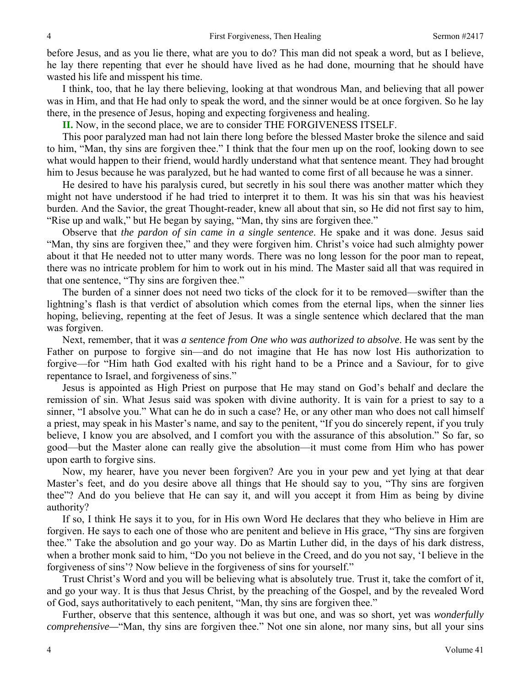before Jesus, and as you lie there, what are you to do? This man did not speak a word, but as I believe, he lay there repenting that ever he should have lived as he had done, mourning that he should have wasted his life and misspent his time.

I think, too, that he lay there believing, looking at that wondrous Man, and believing that all power was in Him, and that He had only to speak the word, and the sinner would be at once forgiven. So he lay there, in the presence of Jesus, hoping and expecting forgiveness and healing.

**II.** Now, in the second place, we are to consider THE FORGIVENESS ITSELF.

This poor paralyzed man had not lain there long before the blessed Master broke the silence and said to him, "Man, thy sins are forgiven thee." I think that the four men up on the roof, looking down to see what would happen to their friend, would hardly understand what that sentence meant. They had brought him to Jesus because he was paralyzed, but he had wanted to come first of all because he was a sinner.

He desired to have his paralysis cured, but secretly in his soul there was another matter which they might not have understood if he had tried to interpret it to them. It was his sin that was his heaviest burden. And the Savior, the great Thought-reader, knew all about that sin, so He did not first say to him, "Rise up and walk," but He began by saying, "Man, thy sins are forgiven thee."

Observe that *the pardon of sin came in a single sentence*. He spake and it was done. Jesus said "Man, thy sins are forgiven thee," and they were forgiven him. Christ's voice had such almighty power about it that He needed not to utter many words. There was no long lesson for the poor man to repeat, there was no intricate problem for him to work out in his mind. The Master said all that was required in that one sentence, "Thy sins are forgiven thee."

The burden of a sinner does not need two ticks of the clock for it to be removed—swifter than the lightning's flash is that verdict of absolution which comes from the eternal lips, when the sinner lies hoping, believing, repenting at the feet of Jesus. It was a single sentence which declared that the man was forgiven.

Next, remember, that it was *a sentence from One who was authorized to absolve*. He was sent by the Father on purpose to forgive sin—and do not imagine that He has now lost His authorization to forgive—for "Him hath God exalted with his right hand to be a Prince and a Saviour, for to give repentance to Israel, and forgiveness of sins."

Jesus is appointed as High Priest on purpose that He may stand on God's behalf and declare the remission of sin. What Jesus said was spoken with divine authority. It is vain for a priest to say to a sinner, "I absolve you." What can he do in such a case? He, or any other man who does not call himself a priest, may speak in his Master's name, and say to the penitent, "If you do sincerely repent, if you truly believe, I know you are absolved, and I comfort you with the assurance of this absolution." So far, so good—but the Master alone can really give the absolution—it must come from Him who has power upon earth to forgive sins.

Now, my hearer, have you never been forgiven? Are you in your pew and yet lying at that dear Master's feet, and do you desire above all things that He should say to you, "Thy sins are forgiven thee"? And do you believe that He can say it, and will you accept it from Him as being by divine authority?

If so, I think He says it to you, for in His own Word He declares that they who believe in Him are forgiven. He says to each one of those who are penitent and believe in His grace, "Thy sins are forgiven thee." Take the absolution and go your way. Do as Martin Luther did, in the days of his dark distress, when a brother monk said to him, "Do you not believe in the Creed, and do you not say, 'I believe in the forgiveness of sins'? Now believe in the forgiveness of sins for yourself."

Trust Christ's Word and you will be believing what is absolutely true. Trust it, take the comfort of it, and go your way. It is thus that Jesus Christ, by the preaching of the Gospel, and by the revealed Word of God, says authoritatively to each penitent, "Man, thy sins are forgiven thee."

Further, observe that this sentence, although it was but one, and was so short, yet was *wonderfully comprehensive—*"Man, thy sins are forgiven thee." Not one sin alone, nor many sins, but all your sins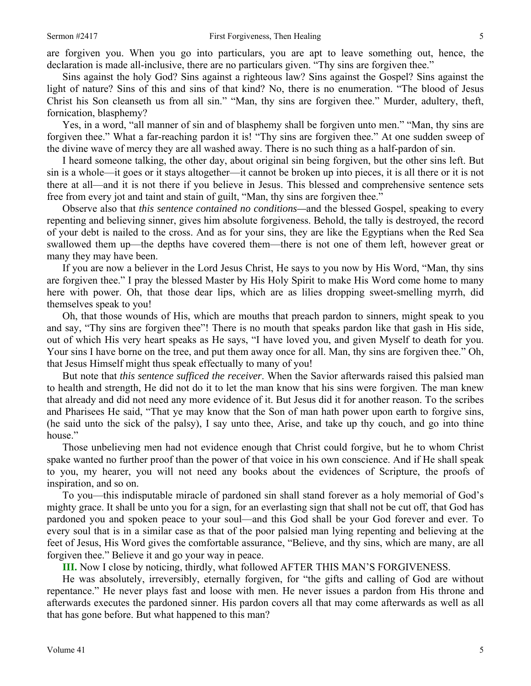Sins against the holy God? Sins against a righteous law? Sins against the Gospel? Sins against the light of nature? Sins of this and sins of that kind? No, there is no enumeration. "The blood of Jesus Christ his Son cleanseth us from all sin." "Man, thy sins are forgiven thee." Murder, adultery, theft, fornication, blasphemy?

Yes, in a word, "all manner of sin and of blasphemy shall be forgiven unto men." "Man, thy sins are forgiven thee." What a far-reaching pardon it is! "Thy sins are forgiven thee." At one sudden sweep of the divine wave of mercy they are all washed away. There is no such thing as a half-pardon of sin.

I heard someone talking, the other day, about original sin being forgiven, but the other sins left. But sin is a whole—it goes or it stays altogether—it cannot be broken up into pieces, it is all there or it is not there at all—and it is not there if you believe in Jesus. This blessed and comprehensive sentence sets free from every jot and taint and stain of guilt, "Man, thy sins are forgiven thee."

Observe also that *this sentence contained no conditions—*and the blessed Gospel, speaking to every repenting and believing sinner, gives him absolute forgiveness. Behold, the tally is destroyed, the record of your debt is nailed to the cross. And as for your sins, they are like the Egyptians when the Red Sea swallowed them up—the depths have covered them—there is not one of them left, however great or many they may have been.

If you are now a believer in the Lord Jesus Christ, He says to you now by His Word, "Man, thy sins are forgiven thee." I pray the blessed Master by His Holy Spirit to make His Word come home to many here with power. Oh, that those dear lips, which are as lilies dropping sweet-smelling myrrh, did themselves speak to you!

Oh, that those wounds of His, which are mouths that preach pardon to sinners, might speak to you and say, "Thy sins are forgiven thee"! There is no mouth that speaks pardon like that gash in His side, out of which His very heart speaks as He says, "I have loved you, and given Myself to death for you. Your sins I have borne on the tree, and put them away once for all. Man, thy sins are forgiven thee." Oh, that Jesus Himself might thus speak effectually to many of you!

But note that *this sentence sufficed the receiver*. When the Savior afterwards raised this palsied man to health and strength, He did not do it to let the man know that his sins were forgiven. The man knew that already and did not need any more evidence of it. But Jesus did it for another reason. To the scribes and Pharisees He said, "That ye may know that the Son of man hath power upon earth to forgive sins, (he said unto the sick of the palsy), I say unto thee, Arise, and take up thy couch, and go into thine house."

Those unbelieving men had not evidence enough that Christ could forgive, but he to whom Christ spake wanted no further proof than the power of that voice in his own conscience. And if He shall speak to you, my hearer, you will not need any books about the evidences of Scripture, the proofs of inspiration, and so on.

To you—this indisputable miracle of pardoned sin shall stand forever as a holy memorial of God's mighty grace. It shall be unto you for a sign, for an everlasting sign that shall not be cut off, that God has pardoned you and spoken peace to your soul—and this God shall be your God forever and ever. To every soul that is in a similar case as that of the poor palsied man lying repenting and believing at the feet of Jesus, His Word gives the comfortable assurance, "Believe, and thy sins, which are many, are all forgiven thee." Believe it and go your way in peace.

**III.** Now I close by noticing, thirdly, what followed AFTER THIS MAN'S FORGIVENESS.

He was absolutely, irreversibly, eternally forgiven, for "the gifts and calling of God are without repentance." He never plays fast and loose with men. He never issues a pardon from His throne and afterwards executes the pardoned sinner. His pardon covers all that may come afterwards as well as all that has gone before. But what happened to this man?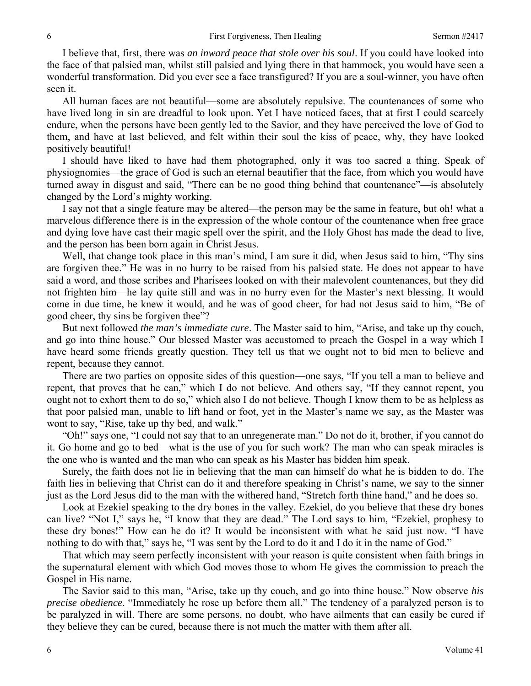I believe that, first, there was *an inward peace that stole over his soul*. If you could have looked into the face of that palsied man, whilst still palsied and lying there in that hammock, you would have seen a wonderful transformation. Did you ever see a face transfigured? If you are a soul-winner, you have often seen it.

All human faces are not beautiful—some are absolutely repulsive. The countenances of some who have lived long in sin are dreadful to look upon. Yet I have noticed faces, that at first I could scarcely endure, when the persons have been gently led to the Savior, and they have perceived the love of God to them, and have at last believed, and felt within their soul the kiss of peace, why, they have looked positively beautiful!

I should have liked to have had them photographed, only it was too sacred a thing. Speak of physiognomies—the grace of God is such an eternal beautifier that the face, from which you would have turned away in disgust and said, "There can be no good thing behind that countenance"—is absolutely changed by the Lord's mighty working.

I say not that a single feature may be altered—the person may be the same in feature, but oh! what a marvelous difference there is in the expression of the whole contour of the countenance when free grace and dying love have cast their magic spell over the spirit, and the Holy Ghost has made the dead to live, and the person has been born again in Christ Jesus.

Well, that change took place in this man's mind, I am sure it did, when Jesus said to him, "Thy sins are forgiven thee." He was in no hurry to be raised from his palsied state. He does not appear to have said a word, and those scribes and Pharisees looked on with their malevolent countenances, but they did not frighten him—he lay quite still and was in no hurry even for the Master's next blessing. It would come in due time, he knew it would, and he was of good cheer, for had not Jesus said to him, "Be of good cheer, thy sins be forgiven thee"?

But next followed *the man's immediate cure*. The Master said to him, "Arise, and take up thy couch, and go into thine house." Our blessed Master was accustomed to preach the Gospel in a way which I have heard some friends greatly question. They tell us that we ought not to bid men to believe and repent, because they cannot.

There are two parties on opposite sides of this question—one says, "If you tell a man to believe and repent, that proves that he can," which I do not believe. And others say, "If they cannot repent, you ought not to exhort them to do so," which also I do not believe. Though I know them to be as helpless as that poor palsied man, unable to lift hand or foot, yet in the Master's name we say, as the Master was wont to say, "Rise, take up thy bed, and walk."

"Oh!" says one, "I could not say that to an unregenerate man." Do not do it, brother, if you cannot do it. Go home and go to bed—what is the use of you for such work? The man who can speak miracles is the one who is wanted and the man who can speak as his Master has bidden him speak.

Surely, the faith does not lie in believing that the man can himself do what he is bidden to do. The faith lies in believing that Christ can do it and therefore speaking in Christ's name, we say to the sinner just as the Lord Jesus did to the man with the withered hand, "Stretch forth thine hand," and he does so.

Look at Ezekiel speaking to the dry bones in the valley. Ezekiel, do you believe that these dry bones can live? "Not I," says he, "I know that they are dead." The Lord says to him, "Ezekiel, prophesy to these dry bones!" How can he do it? It would be inconsistent with what he said just now. "I have nothing to do with that," says he, "I was sent by the Lord to do it and I do it in the name of God."

That which may seem perfectly inconsistent with your reason is quite consistent when faith brings in the supernatural element with which God moves those to whom He gives the commission to preach the Gospel in His name.

The Savior said to this man, "Arise, take up thy couch, and go into thine house." Now observe *his precise obedience*. "Immediately he rose up before them all." The tendency of a paralyzed person is to be paralyzed in will. There are some persons, no doubt, who have ailments that can easily be cured if they believe they can be cured, because there is not much the matter with them after all.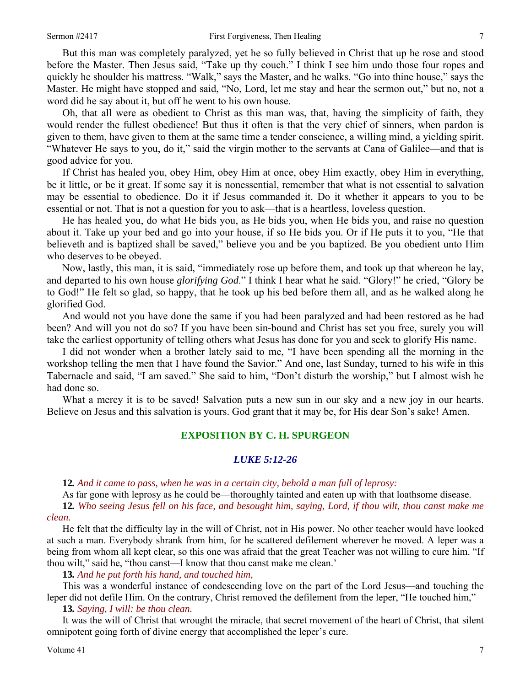But this man was completely paralyzed, yet he so fully believed in Christ that up he rose and stood before the Master. Then Jesus said, "Take up thy couch." I think I see him undo those four ropes and quickly he shoulder his mattress. "Walk," says the Master, and he walks. "Go into thine house," says the Master. He might have stopped and said, "No, Lord, let me stay and hear the sermon out," but no, not a word did he say about it, but off he went to his own house.

Oh, that all were as obedient to Christ as this man was, that, having the simplicity of faith, they would render the fullest obedience! But thus it often is that the very chief of sinners, when pardon is given to them, have given to them at the same time a tender conscience, a willing mind, a yielding spirit. "Whatever He says to you, do it," said the virgin mother to the servants at Cana of Galilee—and that is good advice for you.

If Christ has healed you, obey Him, obey Him at once, obey Him exactly, obey Him in everything, be it little, or be it great. If some say it is nonessential, remember that what is not essential to salvation may be essential to obedience. Do it if Jesus commanded it. Do it whether it appears to you to be essential or not. That is not a question for you to ask—that is a heartless, loveless question.

He has healed you, do what He bids you, as He bids you, when He bids you, and raise no question about it. Take up your bed and go into your house, if so He bids you. Or if He puts it to you, "He that believeth and is baptized shall be saved," believe you and be you baptized. Be you obedient unto Him who deserves to be obeyed.

Now, lastly, this man, it is said, "immediately rose up before them, and took up that whereon he lay, and departed to his own house *glorifying God*." I think I hear what he said. "Glory!" he cried, "Glory be to God!" He felt so glad, so happy, that he took up his bed before them all, and as he walked along he glorified God.

And would not you have done the same if you had been paralyzed and had been restored as he had been? And will you not do so? If you have been sin-bound and Christ has set you free, surely you will take the earliest opportunity of telling others what Jesus has done for you and seek to glorify His name.

I did not wonder when a brother lately said to me, "I have been spending all the morning in the workshop telling the men that I have found the Savior." And one, last Sunday, turned to his wife in this Tabernacle and said, "I am saved." She said to him, "Don't disturb the worship," but I almost wish he had done so.

What a mercy it is to be saved! Salvation puts a new sun in our sky and a new joy in our hearts. Believe on Jesus and this salvation is yours. God grant that it may be, for His dear Son's sake! Amen.

## **EXPOSITION BY C. H. SPURGEON**

#### *LUKE 5:12-26*

**12***. And it came to pass, when he was in a certain city, behold a man full of leprosy:*

As far gone with leprosy as he could be—thoroughly tainted and eaten up with that loathsome disease.

**12***. Who seeing Jesus fell on his face, and besought him, saying, Lord, if thou wilt, thou canst make me clean.*

He felt that the difficulty lay in the will of Christ, not in His power. No other teacher would have looked at such a man. Everybody shrank from him, for he scattered defilement wherever he moved. A leper was a being from whom all kept clear, so this one was afraid that the great Teacher was not willing to cure him. "If thou wilt," said he, "thou canst—I know that thou canst make me clean.'

**13***. And he put forth his hand, and touched him,* 

This was a wonderful instance of condescending love on the part of the Lord Jesus—and touching the leper did not defile Him. On the contrary, Christ removed the defilement from the leper, "He touched him,"

**13***. Saying, I will: be thou clean.*

It was the will of Christ that wrought the miracle, that secret movement of the heart of Christ, that silent omnipotent going forth of divine energy that accomplished the leper's cure.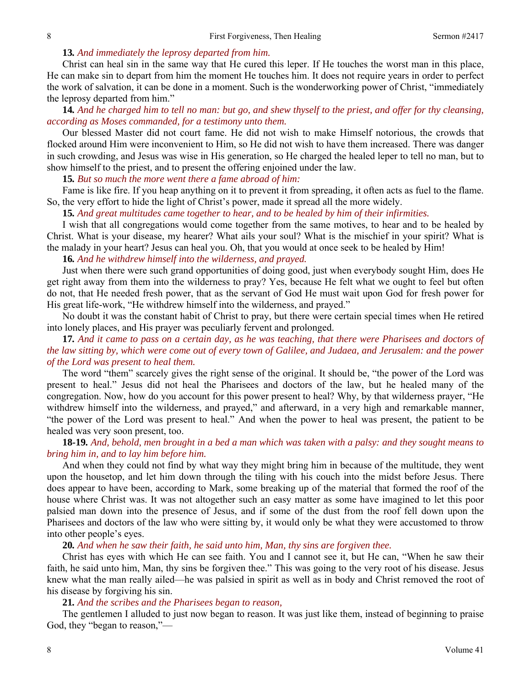#### **13***. And immediately the leprosy departed from him.*

Christ can heal sin in the same way that He cured this leper. If He touches the worst man in this place, He can make sin to depart from him the moment He touches him. It does not require years in order to perfect the work of salvation, it can be done in a moment. Such is the wonderworking power of Christ, "immediately the leprosy departed from him."

**14***. And he charged him to tell no man: but go, and shew thyself to the priest, and offer for thy cleansing, according as Moses commanded, for a testimony unto them.*

Our blessed Master did not court fame. He did not wish to make Himself notorious, the crowds that flocked around Him were inconvenient to Him, so He did not wish to have them increased. There was danger in such crowding, and Jesus was wise in His generation, so He charged the healed leper to tell no man, but to show himself to the priest, and to present the offering enjoined under the law.

**15***. But so much the more went there a fame abroad of him:*

Fame is like fire. If you heap anything on it to prevent it from spreading, it often acts as fuel to the flame. So, the very effort to hide the light of Christ's power, made it spread all the more widely.

**15***. And great multitudes came together to hear, and to be healed by him of their infirmities.*

I wish that all congregations would come together from the same motives, to hear and to be healed by Christ. What is your disease, my hearer? What ails your soul? What is the mischief in your spirit? What is the malady in your heart? Jesus can heal you. Oh, that you would at once seek to be healed by Him!

**16***. And he withdrew himself into the wilderness, and prayed.* 

Just when there were such grand opportunities of doing good, just when everybody sought Him, does He get right away from them into the wilderness to pray? Yes, because He felt what we ought to feel but often do not, that He needed fresh power, that as the servant of God He must wait upon God for fresh power for His great life-work, "He withdrew himself into the wilderness, and prayed."

No doubt it was the constant habit of Christ to pray, but there were certain special times when He retired into lonely places, and His prayer was peculiarly fervent and prolonged.

# **17***. And it came to pass on a certain day, as he was teaching, that there were Pharisees and doctors of the law sitting by, which were come out of every town of Galilee, and Judaea, and Jerusalem: and the power of the Lord was present to heal them.*

The word "them" scarcely gives the right sense of the original. It should be, "the power of the Lord was present to heal." Jesus did not heal the Pharisees and doctors of the law, but he healed many of the congregation. Now, how do you account for this power present to heal? Why, by that wilderness prayer, "He withdrew himself into the wilderness, and prayed," and afterward, in a very high and remarkable manner, "the power of the Lord was present to heal." And when the power to heal was present, the patient to be healed was very soon present, too.

# **18***-***19***. And, behold, men brought in a bed a man which was taken with a palsy: and they sought means to bring him in, and to lay him before him.*

And when they could not find by what way they might bring him in because of the multitude, they went upon the housetop, and let him down through the tiling with his couch into the midst before Jesus. There does appear to have been, according to Mark, some breaking up of the material that formed the roof of the house where Christ was. It was not altogether such an easy matter as some have imagined to let this poor palsied man down into the presence of Jesus, and if some of the dust from the roof fell down upon the Pharisees and doctors of the law who were sitting by, it would only be what they were accustomed to throw into other people's eyes.

**20***. And when he saw their faith, he said unto him, Man, thy sins are forgiven thee.*

Christ has eyes with which He can see faith. You and I cannot see it, but He can, "When he saw their faith, he said unto him, Man, thy sins be forgiven thee." This was going to the very root of his disease. Jesus knew what the man really ailed—he was palsied in spirit as well as in body and Christ removed the root of his disease by forgiving his sin.

**21***. And the scribes and the Pharisees began to reason,*

The gentlemen I alluded to just now began to reason. It was just like them, instead of beginning to praise God, they "began to reason,"—